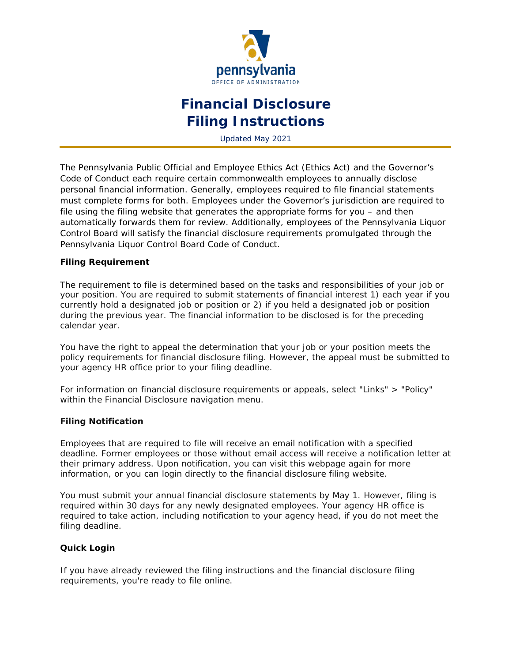

# **Financial Disclosure Filing Instructions**

Updated May 2021

The Pennsylvania Public Official and Employee Ethics Act (Ethics Act) and the Governor's Code of Conduct each require certain commonwealth employees to annually disclose personal financial information. Generally, employees required to file financial statements must complete forms for both. Employees under the Governor's jurisdiction are required to file using the filing website that generates the appropriate forms for you – and then automatically forwards them for review. Additionally, employees of the Pennsylvania Liquor Control Board will satisfy the financial disclosure requirements promulgated through the Pennsylvania Liquor Control Board Code of Conduct.

# **Filing Requirement**

The requirement to file is determined based on the tasks and responsibilities of your job or your position. You are required to submit statements of financial interest 1) each year if you currently hold a designated job or position or 2) if you held a designated job or position during the previous year. The financial information to be disclosed is for the preceding calendar year.

You have the right to appeal the determination that your job or your position meets the policy requirements for financial disclosure filing. However, the appeal must be submitted to your agency HR office prior to your filing deadline.

For information on financial disclosure requirements or appeals, select "Links" > "Policy" within the Financial Disclosure navigation menu.

#### **Filing Notification**

Employees that are required to file will receive an email notification with a specified deadline. Former employees or those without email access will receive a notification letter at their primary address. Upon notification, you can visit this webpage again for more information, or you can login directly to the financial disclosure filing website.

You must submit your annual financial disclosure statements by May 1. However, filing is required within 30 days for any newly designated employees. Your agency HR office is required to take action, including notification to your agency head, if you do not meet the filing deadline.

#### **Quick Login**

If you have already reviewed the filing instructions and the financial disclosure filing requirements, you're ready to file online.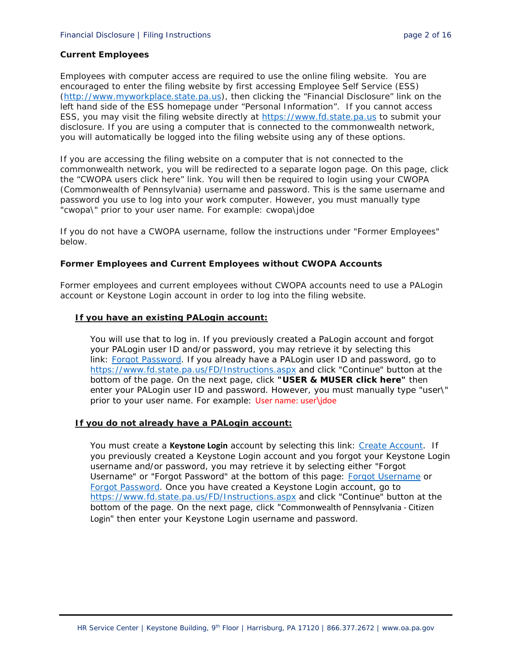## **Current Employees**

Employees with computer access are required to use the online filing website. You are encouraged to enter the filing website by first accessing Employee Self Service (ESS) [\(http://www.myworkplace.state.pa.us\)](http://www.myworkplace.state.pa.us/), then clicking the "Financial Disclosure" link on the left hand side of the ESS homepage under "Personal Information". If you cannot access ESS, you may visit the filing website directly at [https://www.fd.state.pa.us](https://www.fd.state.pa.us/) to submit your disclosure. If you are using a computer that is connected to the commonwealth network, you will automatically be logged into the filing website using any of these options.

If you are accessing the filing website on a computer that is not connected to the commonwealth network, you will be redirected to a separate logon page. On this page, click the "CWOPA users click here" link. You will then be required to login using your CWOPA (Commonwealth of Pennsylvania) username and password. This is the same username and password you use to log into your work computer. However, you must manually type "cwopa\" prior to your user name. For example: cwopa\jdoe

If you do not have a CWOPA username, follow the instructions under "Former Employees" below.

## **Former Employees and Current Employees without CWOPA Accounts**

Former employees and current employees without CWOPA accounts need to use a PALogin account or Keystone Login account in order to log into the filing website.

## **If you have an existing PALogin account:**

You will use that to log in. If you previously created a PaLogin account and forgot your PALogin user ID and/or password, you may retrieve it by selecting this link: [Forgot Password.](https://palogin.state.pa.us/Login/Home/ForgotPassword) If you already have a PALogin user ID and password, go to <https://www.fd.state.pa.us/FD/Instructions.aspx> and click "Continue" button at the bottom of the page. On the next page, click **"USER & MUSER click here"** then enter your PALogin user ID and password. However, you must manually type "user\" prior to your user name. For example: User name: user\jdoe

## **If you do not already have a PALogin account:**

You must create a **Keystone Login** account by selecting this link: [Create Account.](https://keystonelogin.pa.gov/Account/Register) If you previously created a Keystone Login account and you forgot your Keystone Login username and/or password, you may retrieve it by selecting either "Forgot Username" or "Forgot Password" at the bottom of this page: [Forgot Username](https://keystonelogin.pa.gov/Account/ForgotUserName) or [Forgot Password.](https://keystonelogin.pa.gov/Account/ForgotPassword) Once you have created a Keystone Login account, go to <https://www.fd.state.pa.us/FD/Instructions.aspx> and click "Continue" button at the bottom of the page. On the next page, click "Commonwealth of Pennsylvania - Citizen Login" then enter your Keystone Login username and password.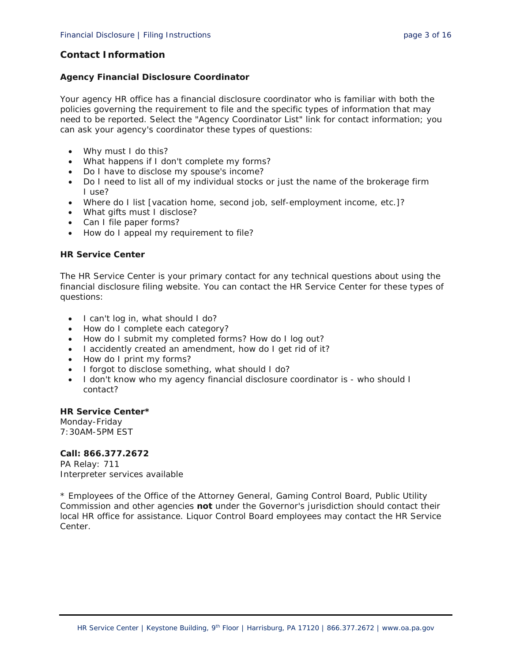# **Contact Information**

## **Agency Financial Disclosure Coordinator**

Your agency HR office has a financial disclosure coordinator who is familiar with both the policies governing the requirement to file and the specific types of information that may need to be reported. Select the "Agency Coordinator List" link for contact information; you can ask your agency's coordinator these types of questions:

- Why must I do this?
- What happens if I don't complete my forms?
- Do I have to disclose my spouse's income?
- Do I need to list all of my individual stocks or just the name of the brokerage firm I use?
- Where do I list [vacation home, second job, self-employment income, etc.]?
- What gifts must I disclose?
- Can I file paper forms?
- How do I appeal my requirement to file?

# **HR Service Center**

The HR Service Center is your primary contact for any technical questions about using the financial disclosure filing website. You can contact the HR Service Center for these types of questions:

- I can't log in, what should I do?
- How do I complete each category?
- How do I submit my completed forms? How do I log out?
- I accidently created an amendment, how do I get rid of it?
- How do I print my forms?
- I forgot to disclose something, what should I do?
- I don't know who my agency financial disclosure coordinator is who should I contact?

#### **HR Service Center\***

Monday-Friday 7:30AM-5PM EST

## **Call: 866.377.2672**

PA Relay: 711 Interpreter services available

*\* Employees of the Office of the Attorney General, Gaming Control Board, Public Utility Commission and other agencies not under the Governor's jurisdiction should contact their local HR office for assistance. Liquor Control Board employees may contact the HR Service Center.*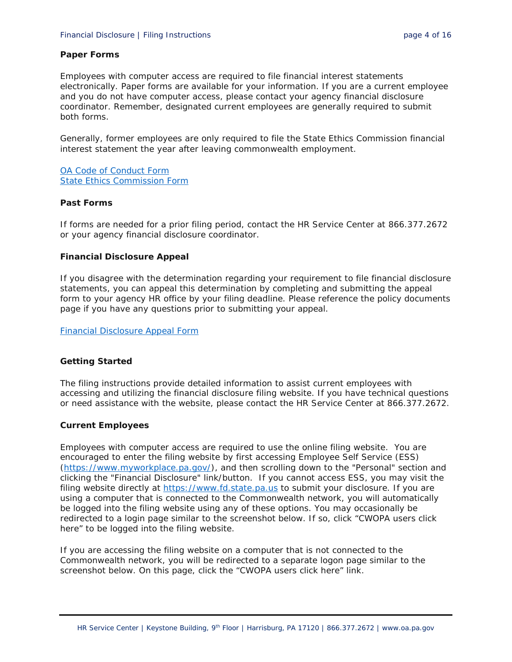## **Paper Forms**

Employees with computer access are required to file financial interest statements electronically. Paper forms are available for your information. If you are a current employee and you do not have computer access, please contact your agency financial disclosure coordinator. Remember, designated current employees are generally required to submit both forms.

Generally, former employees are only required to file the State Ethics Commission financial interest statement the year after leaving commonwealth employment.

[OA Code of Conduct Form](http://www.hrm.oa.pa.gov/Documents/findiscl-code-conduct.pdf) [State Ethics Commission Form](http://www.hrm.oa.pa.gov/Documents/findiscl-ethics.pdf)

## **Past Forms**

If forms are needed for a prior filing period, contact the HR Service Center at 866.377.2672 or your agency financial disclosure coordinator.

## **Financial Disclosure Appeal**

If you disagree with the determination regarding your requirement to file financial disclosure statements, you can appeal this determination by completing and submitting the appeal form to your agency HR office by your filing deadline. Please reference the policy documents page if you have any questions prior to submitting your appeal.

[Financial Disclosure Appeal Form](http://www.hrm.oa.pa.gov/Documents/findiscl-appeal.pdf)

# **Getting Started**

The filing instructions provide detailed information to assist current employees with accessing and utilizing the financial disclosure filing website. If you have technical questions or need assistance with the website, please contact the HR Service Center at 866.377.2672.

# **Current Employees**

Employees with computer access are required to use the online filing website. You are encouraged to enter the filing website by first accessing Employee Self Service (ESS) [\(https://www.myworkplace.pa.gov/\)](https://www.myworkplace.pa.gov/), and then scrolling down to the "Personal" section and clicking the "Financial Disclosure" link/button. If you cannot access ESS, you may visit the filing website directly at [https://www.fd.state.pa.us](https://www.fd.state.pa.us/) to submit your disclosure. If you are using a computer that is connected to the Commonwealth network, you will automatically be logged into the filing website using any of these options. You may occasionally be redirected to a login page similar to the screenshot below. If so, click "CWOPA users click here" to be logged into the filing website.

If you are accessing the filing website on a computer that is not connected to the Commonwealth network, you will be redirected to a separate logon page similar to the screenshot below. On this page, click the "CWOPA users click here" link.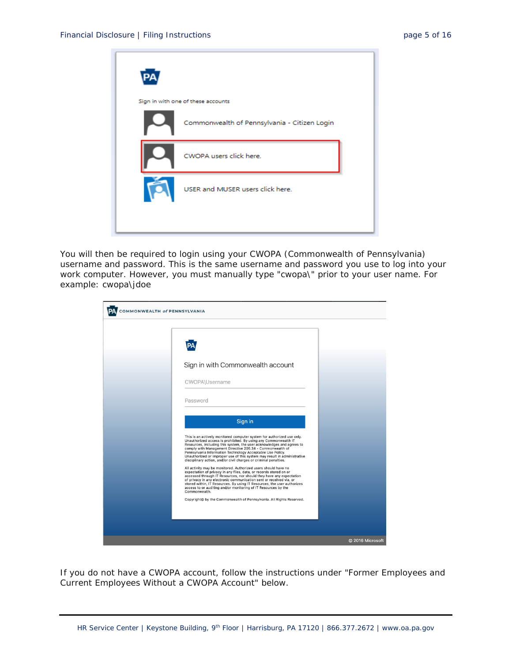

You will then be required to login using your CWOPA (Commonwealth of Pennsylvania) username and password. This is the same username and password you use to log into your work computer. However, you must manually type "cwopa\" prior to your user name. For example: cwopa\jdoe

| COMMONWEALTH of PENNSYLVANIA |                                                                                                                                                                                                                                                                                                                                                                                                                                                                                                                                                                                                                                                                                                                                                                                                                                                                                                                                                                                                                                                                                                         |                  |
|------------------------------|---------------------------------------------------------------------------------------------------------------------------------------------------------------------------------------------------------------------------------------------------------------------------------------------------------------------------------------------------------------------------------------------------------------------------------------------------------------------------------------------------------------------------------------------------------------------------------------------------------------------------------------------------------------------------------------------------------------------------------------------------------------------------------------------------------------------------------------------------------------------------------------------------------------------------------------------------------------------------------------------------------------------------------------------------------------------------------------------------------|------------------|
|                              | Sign in with Commonwealth account<br>CWOPA\Username<br>Password<br>Sign in<br>This is an actively monitored computer system for authorized use only.<br>Unauthorized access is prohibited. By using any Commonwealth IT<br>Resources, including this system, the user acknowledges and agrees to<br>comply with Management Directive 205.34 - Commonwealth of<br>Pennsylvania Information Technology Acceptable Use Policy.<br>Unauthorized or improper use of this system may result in administrative<br>disciplinary action, and/or civil charges or criminal penalties.<br>All activity may be monitored. Authorized users should have no<br>expectation of privacy in any files, data, or records stored on or<br>accessed through IT Resources, nor should they have any expectation<br>of privacy in any electronic communication sent or received via, or<br>stored within, IT Resources. By using IT Resources, the user authorizes<br>access to or auditing and/or monitoring of IT Resources by the<br>Commonwealth.<br>Copyright@ by the Commonwealth of Pennsylvania. All Rights Reserved. |                  |
|                              |                                                                                                                                                                                                                                                                                                                                                                                                                                                                                                                                                                                                                                                                                                                                                                                                                                                                                                                                                                                                                                                                                                         | © 2016 Microsoft |

If you do not have a CWOPA account, follow the instructions under "Former Employees and Current Employees Without a CWOPA Account" below.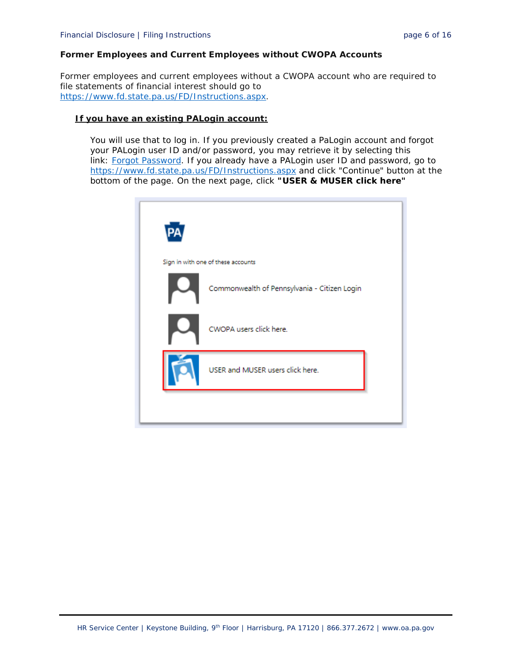# **Former Employees and Current Employees without CWOPA Accounts**

Former employees and current employees without a CWOPA account who are required to file statements of financial interest should go to [https://www.fd.state.pa.us/FD/Instructions.aspx.](https://www.fd.state.pa.us/FD/Instructions.aspx)

#### **If you have an existing PALogin account:**

You will use that to log in. If you previously created a PaLogin account and forgot your PALogin user ID and/or password, you may retrieve it by selecting this link: [Forgot Password.](https://palogin.state.pa.us/Login/Home/ForgotPassword) If you already have a PALogin user ID and password, go to <https://www.fd.state.pa.us/FD/Instructions.aspx> and click "Continue" button at the bottom of the page. On the next page, click **"USER & MUSER click here"**

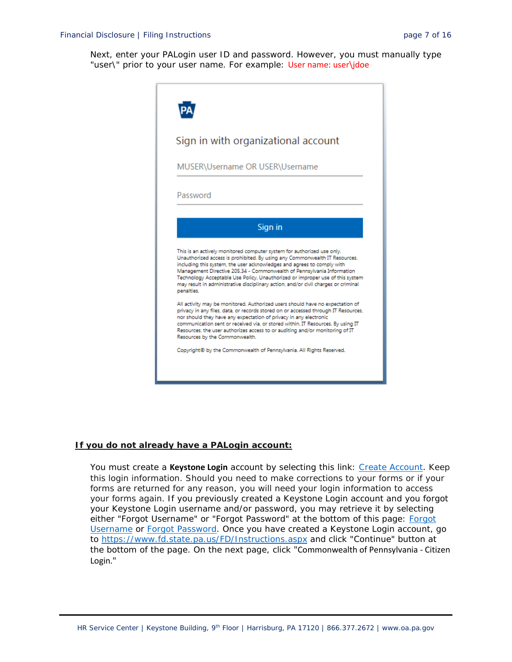Next, enter your PALogin user ID and password. However, you must manually type "user\" prior to your user name. For example: User name: user\jdoe



#### **If you do not already have a PALogin account:**

You must create a **Keystone Login** account by selecting this link: [Create Account.](https://keystonelogin.pa.gov/Account/Register) Keep this login information. Should you need to make corrections to your forms or if your forms are returned for any reason, you will need your login information to access your forms again. If you previously created a Keystone Login account and you forgot your Keystone Login username and/or password, you may retrieve it by selecting either "[Forgot](https://keystonelogin.pa.gov/Account/ForgotUserName) Username" or "Forgot Password" at the bottom of this page: Forgot [Username](https://keystonelogin.pa.gov/Account/ForgotUserName) or [Forgot Password.](https://keystonelogin.pa.gov/Account/ForgotPassword) Once you have created a Keystone Login account, go to<https://www.fd.state.pa.us/FD/Instructions.aspx> and click "Continue" button at the bottom of the page. On the next page, click "Commonwealth of Pennsylvania - Citizen Login."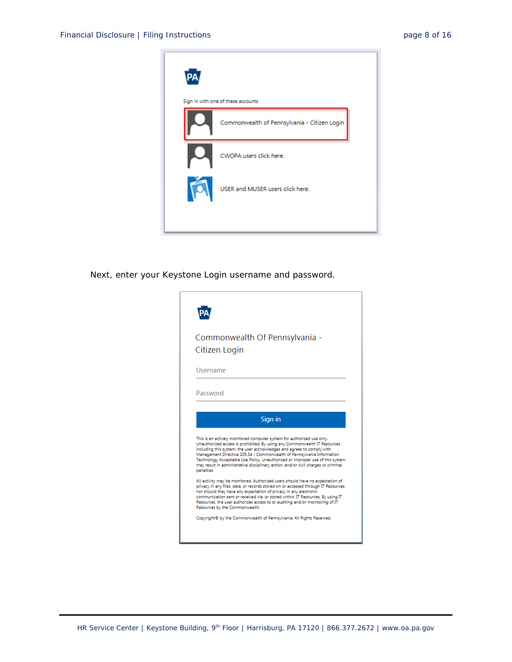

Next, enter your Keystone Login username and password.

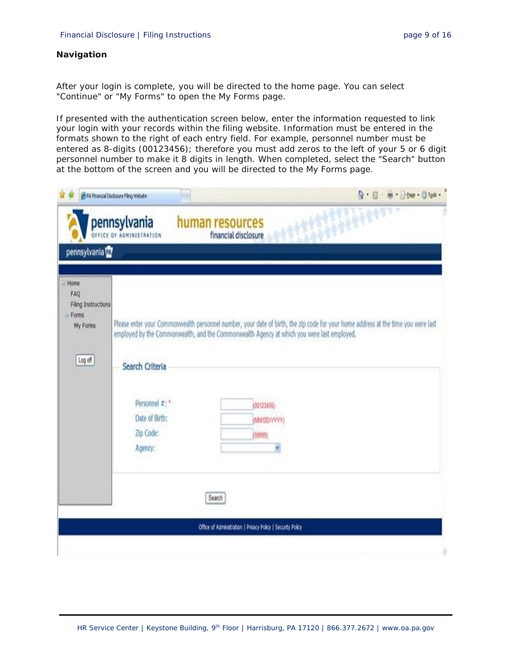## **Navigation**

After your login is complete, you will be directed to the home page. You can select "Continue" or "My Forms" to open the My Forms page.

If presented with the authentication screen below, enter the information requested to link your login with your records within the filing website. Information must be entered in the formats shown to the right of each entry field. For example, personnel number must be entered as 8-digits (00123456); therefore you must add zeros to the left of your 5 or 6 digit personnel number to make it 8 digits in length. When completed, select the "Search" button at the bottom of the screen and you will be directed to the My Forms page.

| pennsylvania <sup>n</sup>                                                  | pennsylvania<br><b>DFFICE OF ADMINISTRATION</b>                             | ч<br>1997<br>human resources                                                                                                                                                                                                                                                 |
|----------------------------------------------------------------------------|-----------------------------------------------------------------------------|------------------------------------------------------------------------------------------------------------------------------------------------------------------------------------------------------------------------------------------------------------------------------|
|                                                                            |                                                                             | financial disclosure                                                                                                                                                                                                                                                         |
|                                                                            |                                                                             |                                                                                                                                                                                                                                                                              |
| $=$ Home<br>FAQ<br>Filing Instructions<br>$=$ Forms<br>My Forms<br>Log off | Search Criteria<br>Personnel #: "<br>Date of Birth:<br>Zip Code:<br>Agency: | Please enter your Commonwealth personnel number, your date of birth, the zip code for your home address at the time you were last<br>employed by the Commonwealth, and the Commonwealth Agency at which you were last employed.<br>(00123466)<br>(MMOD/YYYYY<br>(99999)<br>Y |
|                                                                            |                                                                             | Search<br>Office of Administration   Privacy Policy   Security Policy                                                                                                                                                                                                        |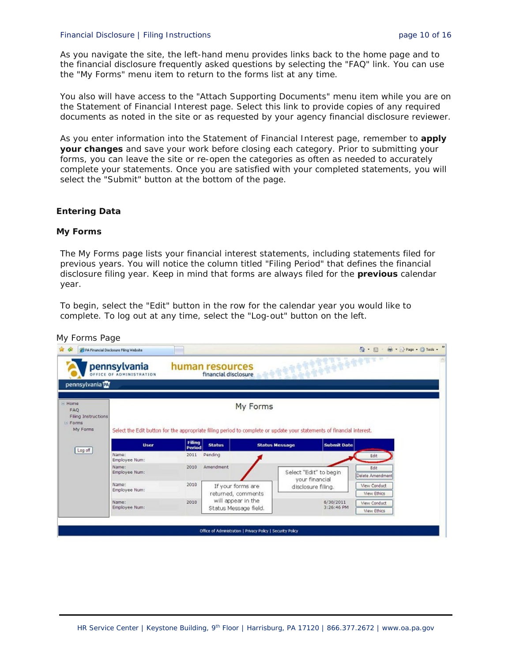#### Financial Disclosure | Filing Instructions **page 10 of 16** page 10 of 16

As you navigate the site, the left-hand menu provides links back to the home page and to the financial disclosure frequently asked questions by selecting the "FAQ" link. You can use the "My Forms" menu item to return to the forms list at any time.

You also will have access to the "Attach Supporting Documents" menu item while you are on the Statement of Financial Interest page. Select this link to provide copies of any required documents as noted in the site or as requested by your agency financial disclosure reviewer.

As you enter information into the Statement of Financial Interest page, remember to **apply your changes** and save your work before closing each category. Prior to submitting your forms, you can leave the site or re-open the categories as often as needed to accurately complete your statements. Once you are satisfied with your completed statements, you will select the "Submit" button at the bottom of the page.

#### **Entering Data**

#### **My Forms**

The My Forms page lists your financial interest statements, including statements filed for previous years. You will notice the column titled "Filing Period" that defines the financial disclosure filing year. Keep in mind that forms are always filed for the **previous** calendar year.

To begin, select the "Edit" button in the row for the calendar year you would like to complete. To log out at any time, select the "Log-out" button on the left.

|                                                                       | pennsylvania<br>OFFICE OF ADMINISTRATION                                                                              |                         | human resources<br>financial disclosure |                       |                                          |                                           |  |
|-----------------------------------------------------------------------|-----------------------------------------------------------------------------------------------------------------------|-------------------------|-----------------------------------------|-----------------------|------------------------------------------|-------------------------------------------|--|
| pennsylvania <sup>py</sup>                                            |                                                                                                                       |                         |                                         |                       |                                          |                                           |  |
| ⊟ Home<br><b>FAQ</b><br>Filing Instructions<br>$E$ -Forms<br>My Forms | Select the Edit button for the appropriate filing period to complete or update your statements of financial interest. |                         |                                         | My Forms              |                                          |                                           |  |
| Log off                                                               | <b>User</b>                                                                                                           | <b>Filing</b><br>Period | <b>Status</b>                           | <b>Status Message</b> | <b>Submit Date</b>                       |                                           |  |
|                                                                       | Name:<br>Employee Num:                                                                                                | 2011                    | Pending                                 |                       |                                          | Edit                                      |  |
|                                                                       | Name:<br>Employee Num:                                                                                                | 2010                    | Amendment                               |                       | Select "Edit" to begin<br>your financial | Edit<br>Delete Amendment                  |  |
|                                                                       | Name:<br>Employee Num:                                                                                                | 2010                    | If your forms are<br>returned, comments |                       | disclosure filing.                       | <b>View Conduct</b><br><b>View Ethics</b> |  |
|                                                                       |                                                                                                                       | 2010                    | will appear in the                      |                       | 6/30/2011<br>3:26:46 PM                  | <b>View Conduct</b>                       |  |

#### *My Forms Page*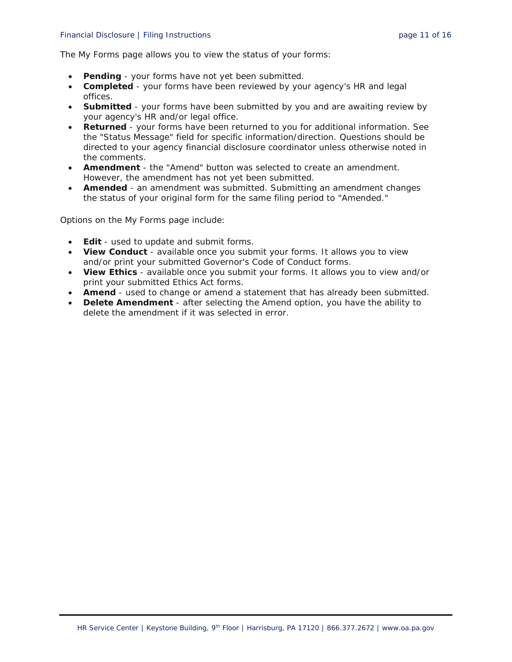#### Financial Disclosure | Filing Instructions **page 11 of 16** and page 11 of 16

The My Forms page allows you to view the status of your forms:

- **Pending** your forms have not yet been submitted.
- **Completed** your forms have been reviewed by your agency's HR and legal offices.
- **Submitted** your forms have been submitted by you and are awaiting review by your agency's HR and/or legal office.
- **Returned** your forms have been returned to you for additional information. See the "Status Message" field for specific information/direction. Questions should be directed to your agency financial disclosure coordinator unless otherwise noted in the comments.
- **Amendment** the "Amend" button was selected to create an amendment. However, the amendment has not yet been submitted.
- **Amended** an amendment was submitted. Submitting an amendment changes the status of your original form for the same filing period to "Amended."

Options on the My Forms page include:

- **Edit** used to update and submit forms.
- **View Conduct** available once you submit your forms. It allows you to view and/or print your submitted Governor's Code of Conduct forms.
- **View Ethics** available once you submit your forms. It allows you to view and/or print your submitted Ethics Act forms.
- **Amend** used to change or amend a statement that has already been submitted.
- **Delete Amendment** after selecting the Amend option, you have the ability to delete the amendment if it was selected in error.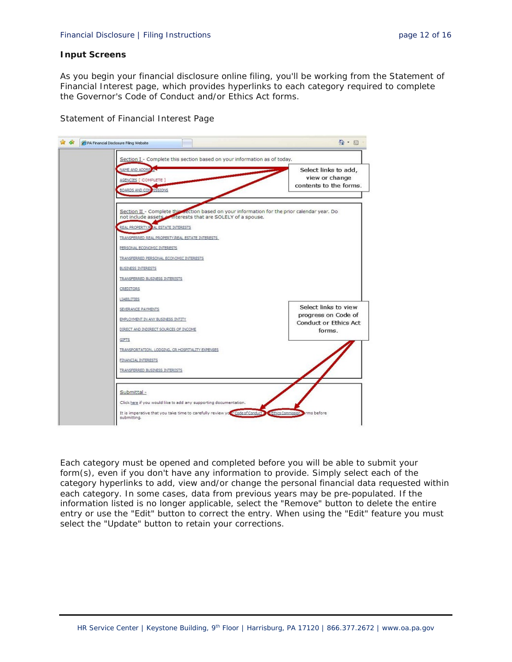#### **Input Screens**

As you begin your financial disclosure online filing, you'll be working from the Statement of Financial Interest page, which provides hyperlinks to each category required to complete the Governor's Code of Conduct and/or Ethics Act forms.

*Statement of Financial Interest Page*



Each category must be opened and completed before you will be able to submit your form(s), even if you don't have any information to provide. Simply select each of the category hyperlinks to add, view and/or change the personal financial data requested within each category. In some cases, data from previous years may be pre-populated. If the information listed is no longer applicable, select the "Remove" button to delete the entire entry or use the "Edit" button to correct the entry. When using the "Edit" feature you must select the "Update" button to retain your corrections.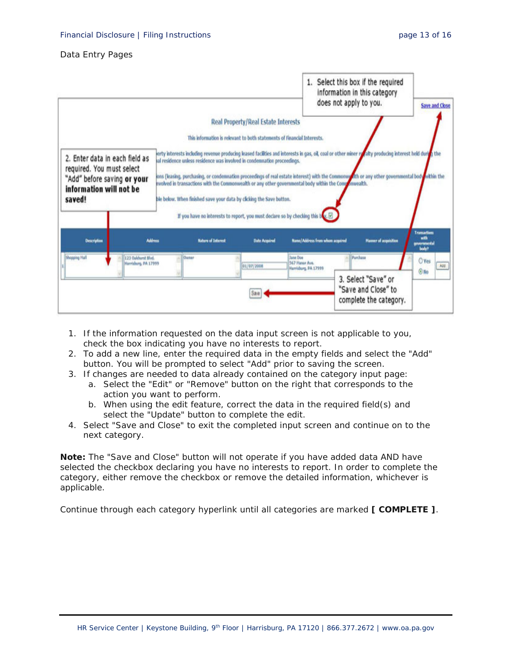#### *Data Entry Pages*

|                                                                                                                                 |                      |                                                                                                                                                                                                                                                                                                                                             |                                                                         |                                                           | 1. Select this box if the required<br>information in this category<br>does not apply to you.                                                                                                                                                                                                               | <b>Save and Close</b>                                |
|---------------------------------------------------------------------------------------------------------------------------------|----------------------|---------------------------------------------------------------------------------------------------------------------------------------------------------------------------------------------------------------------------------------------------------------------------------------------------------------------------------------------|-------------------------------------------------------------------------|-----------------------------------------------------------|------------------------------------------------------------------------------------------------------------------------------------------------------------------------------------------------------------------------------------------------------------------------------------------------------------|------------------------------------------------------|
|                                                                                                                                 |                      |                                                                                                                                                                                                                                                                                                                                             | Real Property/Real Estate Interests                                     |                                                           |                                                                                                                                                                                                                                                                                                            |                                                      |
|                                                                                                                                 |                      |                                                                                                                                                                                                                                                                                                                                             | This information is relevant to both statements of Financial Interests. |                                                           |                                                                                                                                                                                                                                                                                                            |                                                      |
| 2. Enter data in each field as<br>required. You must select<br>"Add" before saving or your<br>information will not be<br>saved! |                      | al residence unless residence was involved in condemnation proceedings.<br>nvolved in transactions with the Commonwealth or any other governmental body within the Componwealth.<br>ble below. When finished save your data by clicking the Save button.<br>If you have no interests to report, you must declare so by checking this buy. E |                                                                         |                                                           | jerty interests including revenue producing leased facilities and interests in gas, oil, coal or other miner revally producing interest held during the<br>jons (leasing, purchasing, or condemnation proceedings of real estate interest) with the Commonwellth or any other governmental body within the |                                                      |
| Description                                                                                                                     | <b>Address</b>       | <b>Nature of Interest</b>                                                                                                                                                                                                                                                                                                                   | <b>Date Acquired</b>                                                    | <b>Rane/Address from whom acquired</b>                    | <b>Hamer of acquisition</b>                                                                                                                                                                                                                                                                                | <b>Transactions</b><br>with<br>governmental<br>body? |
| Shopping Hall<br>123 Oakhunt Blvd.                                                                                              | Harrisburg, PA 17999 | Owner                                                                                                                                                                                                                                                                                                                                       | 01/07/2008                                                              | <b>Jana Doe</b><br>567 Hanor Ave.<br>Harrisburg, PA 17999 | Purchase                                                                                                                                                                                                                                                                                                   | O'Ves<br>Ass<br>$@$ No                               |
|                                                                                                                                 |                      |                                                                                                                                                                                                                                                                                                                                             | Save                                                                    |                                                           | 3. Select "Save" or<br>"Save and Close" to<br>complete the category.                                                                                                                                                                                                                                       |                                                      |

- 1. If the information requested on the data input screen is not applicable to you, check the box indicating you have no interests to report.
- 2. To add a new line, enter the required data in the empty fields and select the "Add" button. You will be prompted to select "Add" prior to saving the screen.
- 3. If changes are needed to data already contained on the category input page:
	- a. Select the "Edit" or "Remove" button on the right that corresponds to the action you want to perform.
	- b. When using the edit feature, correct the data in the required field(s) and select the "Update" button to complete the edit.
- 4. Select "Save and Close" to exit the completed input screen and continue on to the next category.

**Note:** The "Save and Close" button will not operate if you have added data AND have selected the checkbox declaring you have no interests to report. In order to complete the category, either remove the checkbox or remove the detailed information, whichever is applicable.

Continue through each category hyperlink until all categories are marked **[ COMPLETE ]**.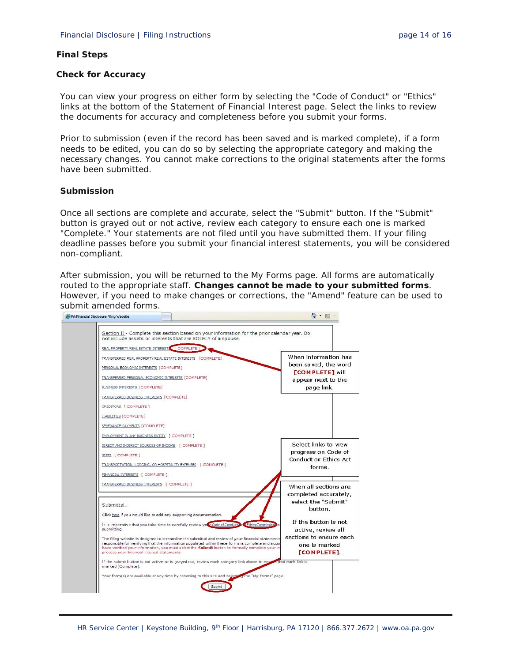#### **Final Steps**

#### **Check for Accuracy**

You can view your progress on either form by selecting the "Code of Conduct" or "Ethics" links at the bottom of the Statement of Financial Interest page. Select the links to review the documents for accuracy and completeness before you submit your forms.

Prior to submission (even if the record has been saved and is marked complete), if a form needs to be edited, you can do so by selecting the appropriate category and making the necessary changes. You cannot make corrections to the original statements after the forms have been submitted.

#### **Submission**

Once all sections are complete and accurate, select the "Submit" button. If the "Submit" button is grayed out or not active, review each category to ensure each one is marked "Complete." Your statements are not filed until you have submitted them. If your filing deadline passes before you submit your financial interest statements, you will be considered non-compliant.

After submission, you will be returned to the My Forms page. All forms are automatically routed to the appropriate staff. **Changes cannot be made to your submitted forms**. However, if you need to make changes or corrections, the "Amend" feature can be used to submit amended forms.

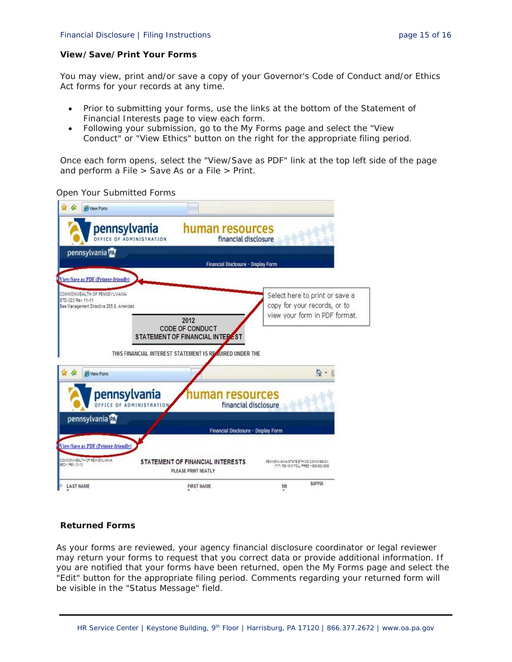# **View/Save/Print Your Forms**

You may view, print and/or save a copy of your Governor's Code of Conduct and/or Ethics Act forms for your records at any time.

- Prior to submitting your forms, use the links at the bottom of the Statement of Financial Interests page to view each form.
- Following your submission, go to the My Forms page and select the "View Conduct" or "View Ethics" button on the right for the appropriate filing period.

Once each form opens, select the "View/Save as PDF" link at the top left side of the page and perform a File > Save As or a File > Print.



*Open Your Submitted Forms*

# **Returned Forms**

As your forms are reviewed, your agency financial disclosure coordinator or legal reviewer may return your forms to request that you correct data or provide additional information. If you are notified that your forms have been returned, open the My Forms page and select the "Edit" button for the appropriate filing period. Comments regarding your returned form will be visible in the "Status Message" field.